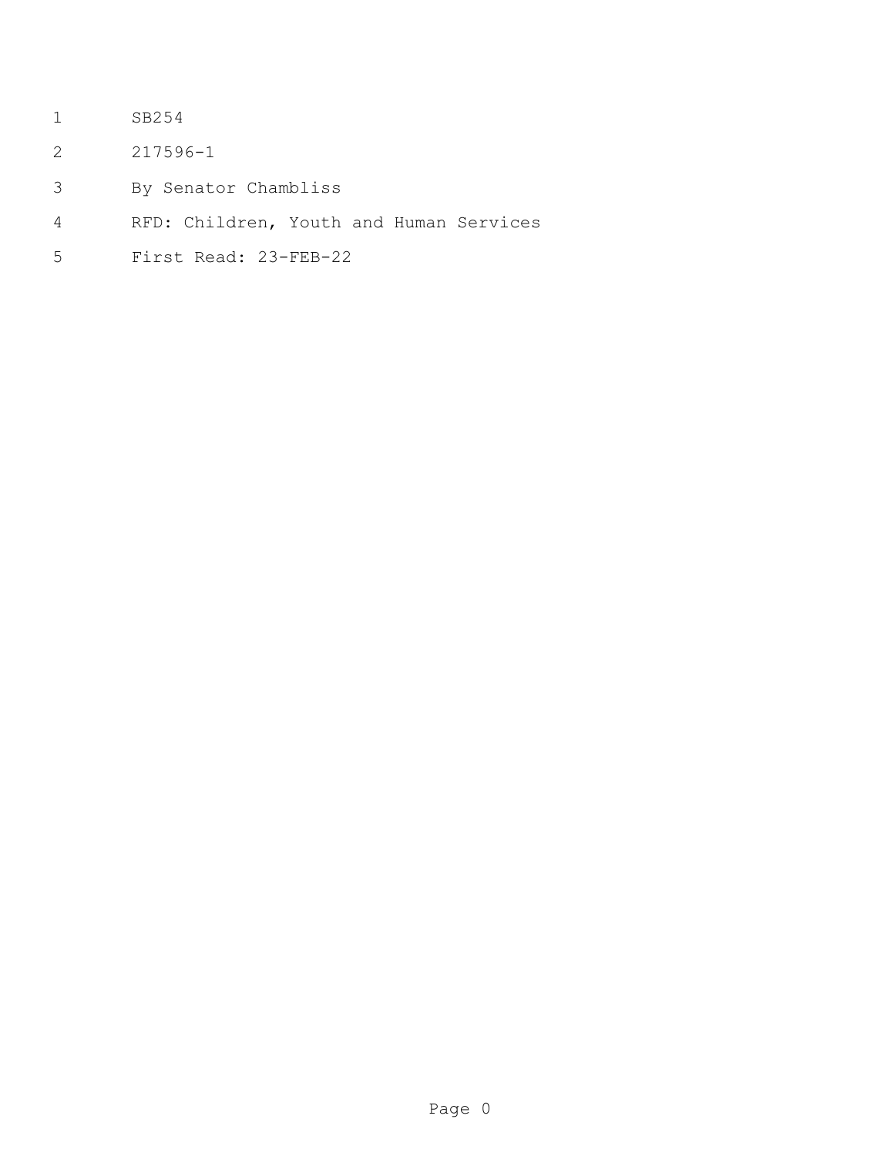- SB254
- 217596-1
- By Senator Chambliss
- RFD: Children, Youth and Human Services
- First Read: 23-FEB-22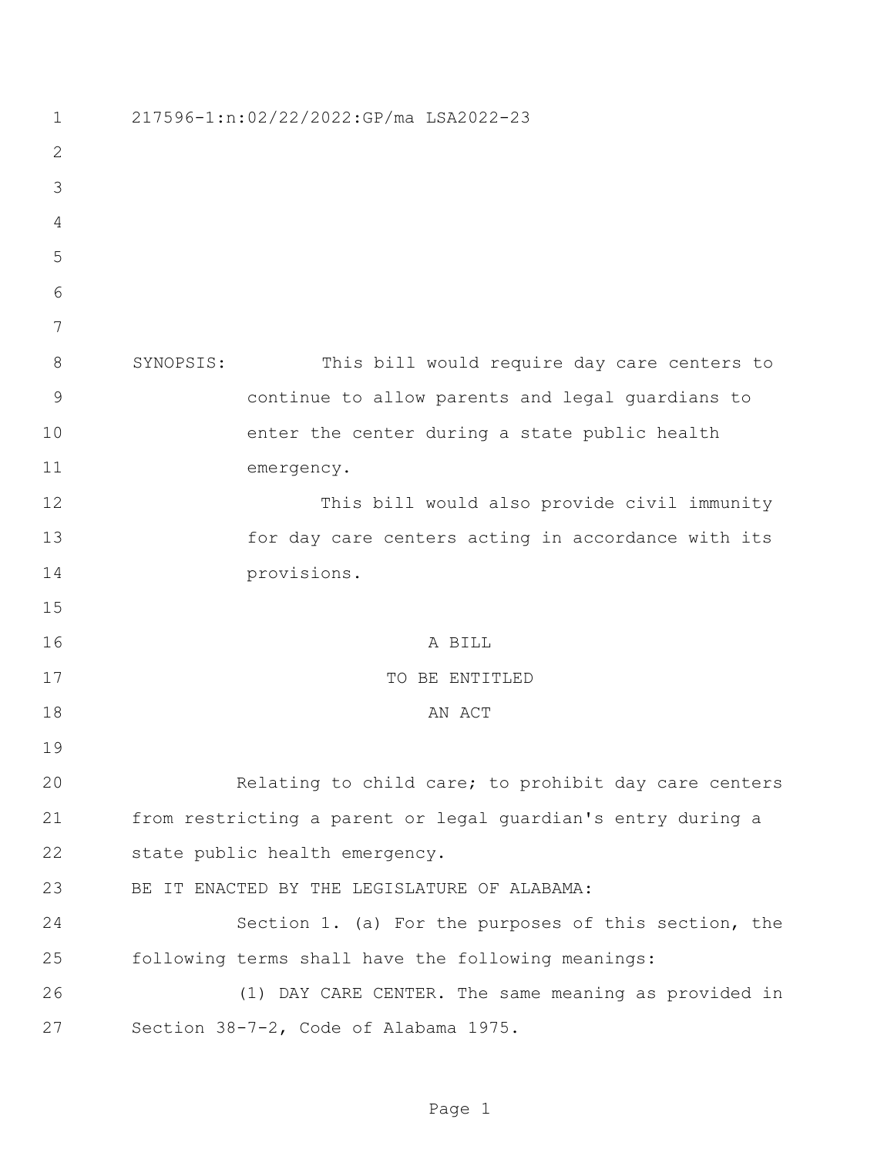| $\mathbf 1$  | 217596-1:n:02/22/2022:GP/ma LSA2022-23                       |
|--------------|--------------------------------------------------------------|
| $\mathbf{2}$ |                                                              |
| 3            |                                                              |
| 4            |                                                              |
| 5            |                                                              |
| 6            |                                                              |
| 7            |                                                              |
| 8            | SYNOPSIS:<br>This bill would require day care centers to     |
| 9            | continue to allow parents and legal guardians to             |
| 10           | enter the center during a state public health                |
| 11           | emergency.                                                   |
| 12           | This bill would also provide civil immunity                  |
| 13           | for day care centers acting in accordance with its           |
| 14           | provisions.                                                  |
| 15           |                                                              |
| 16           | A BILL                                                       |
| 17           | TO BE ENTITLED                                               |
| 18           | AN ACT                                                       |
| 19           |                                                              |
| 20           | Relating to child care; to prohibit day care centers         |
| 21           | from restricting a parent or legal quardian's entry during a |
| 22           | state public health emergency.                               |
| 23           | BE IT ENACTED BY THE LEGISLATURE OF ALABAMA:                 |
| 24           | Section 1. (a) For the purposes of this section, the         |
| 25           | following terms shall have the following meanings:           |
| 26           | (1) DAY CARE CENTER. The same meaning as provided in         |
| 27           | Section 38-7-2, Code of Alabama 1975.                        |